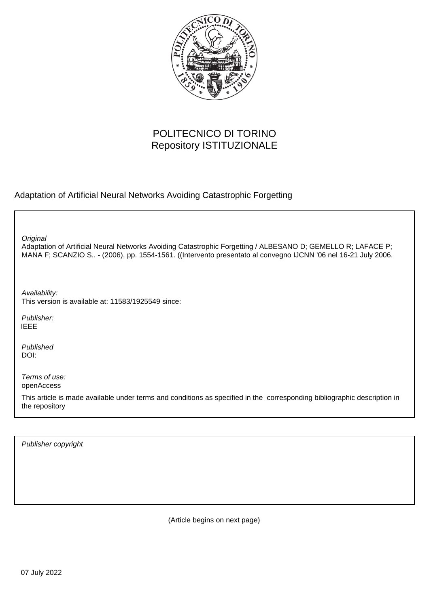

# POLITECNICO DI TORINO Repository ISTITUZIONALE

Adaptation of Artificial Neural Networks Avoiding Catastrophic Forgetting

**Original** 

Adaptation of Artificial Neural Networks Avoiding Catastrophic Forgetting / ALBESANO D; GEMELLO R; LAFACE P; MANA F; SCANZIO S.. - (2006), pp. 1554-1561. ((Intervento presentato al convegno IJCNN '06 nel 16-21 July 2006.

Availability: This version is available at: 11583/1925549 since:

Publisher: IEEE

Published DOI:

Terms of use: openAccess

This article is made available under terms and conditions as specified in the corresponding bibliographic description in the repository

Publisher copyright

(Article begins on next page)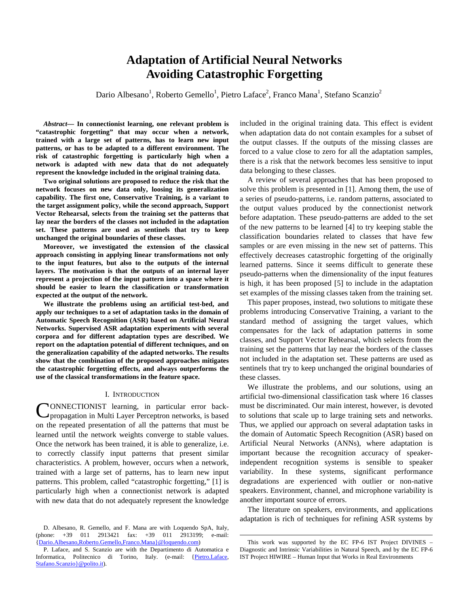# **Adaptation of Artificial Neural Networks Avoiding Catastrophic Forgetting**

Dario Albesano<sup>1</sup>, Roberto Gemello<sup>1</sup>, Pietro Laface<sup>2</sup>, Franco Mana<sup>1</sup>, Stefano Scanzio<sup>2</sup>

*Abstract—* **In connectionist learning, one relevant problem is "catastrophic forgetting" that may occur when a network, trained with a large set of patterns, has to learn new input patterns, or has to be adapted to a different environment. The risk of catastrophic forgetting is particularly high when a network is adapted with new data that do not adequately represent the knowledge included in the original training data.** 

**Two original solutions are proposed to reduce the risk that the network focuses on new data only, loosing its generalization capability. The first one, Conservative Training, is a variant to the target assignment policy, while the second approach, Support Vector Rehearsal, selects from the training set the patterns that lay near the borders of the classes not included in the adaptation set. These patterns are used as sentinels that try to keep unchanged the original boundaries of these classes.** 

**Moreover, we investigated the extension of the classical approach consisting in applying linear transformations not only to the input features, but also to the outputs of the internal layers. The motivation is that the outputs of an internal layer represent a projection of the input pattern into a space where it should be easier to learn the classification or transformation expected at the output of the network.** 

**We illustrate the problems using an artificial test-bed, and apply our techniques to a set of adaptation tasks in the domain of Automatic Speech Recognition (ASR) based on Artificial Neural Networks. Supervised ASR adaptation experiments with several corpora and for different adaptation types are described. We report on the adaptation potential of different techniques, and on the generalization capability of the adapted networks. The results show that the combination of the proposed approaches mitigates the catastrophic forgetting effects, and always outperforms the use of the classical transformations in the feature space.** 

#### I. INTRODUCTION

CONNECTIONIST learning, in particular error back-<br>
propagation in Multi Layer Perceptron networks, is based propagation in Multi Layer Perceptron networks, is based on the repeated presentation of all the patterns that must be learned until the network weights converge to stable values. Once the network has been trained, it is able to generalize, i.e. to correctly classify input patterns that present similar characteristics. A problem, however, occurs when a network, trained with a large set of patterns, has to learn new input patterns. This problem, called "catastrophic forgetting," [\[1\]](#page-8-0) is particularly high when a connectionist network is adapted with new data that do not adequately represent the knowledge included in the original training data. This effect is evident when adaptation data do not contain examples for a subset of the output classes. If the outputs of the missing classes are forced to a value close to zero for all the adaptation samples, there is a risk that the network becomes less sensitive to input data belonging to these classes.

A review of several approaches that has been proposed to solve this problem is presented in [\[1\].](#page-8-0) Among them, the use of a series of pseudo-patterns, i.e. random patterns, associated to the output values produced by the connectionist network before adaptation. These pseudo-patterns are added to the set of the new patterns to be learned [\[4\]](#page-8-1) to try keeping stable the classification boundaries related to classes that have few samples or are even missing in the new set of patterns. This effectively decreases catastrophic forgetting of the originally learned patterns. Since it seems difficult to generate these pseudo-patterns when the dimensionality of the input features is high, it has been proposed [\[5\]](#page-8-2) to include in the adaptation set examples of the missing classes taken from the training set.

This paper proposes, instead, two solutions to mitigate these problems introducing Conservative Training, a variant to the standard method of assigning the target values, which compensates for the lack of adaptation patterns in some classes, and Support Vector Rehearsal, which selects from the training set the patterns that lay near the borders of the classes not included in the adaptation set. These patterns are used as sentinels that try to keep unchanged the original boundaries of these classes.

We illustrate the problems, and our solutions, using an artificial two-dimensional classification task where 16 classes must be discriminated. Our main interest, however, is devoted to solutions that scale up to large training sets and networks. Thus, we applied our approach on several adaptation tasks in the domain of Automatic Speech Recognition (ASR) based on Artificial Neural Networks (ANNs), where adaptation is important because the recognition accuracy of speakerindependent recognition systems is sensible to speaker variability. In these systems, significant performance degradations are experienced with outlier or non-native speakers. Environment, channel, and microphone variability is another important source of errors.

The literature on speakers, environments, and applications adaptation is rich of techniques for refining ASR systems by

D. Albesano, R. Gemello, and F. Mana are with Loquendo SpA, Italy, (phone: +39 011 2913421 fax: +39 011 2913199; e-mail: {[Dario.Albesano,Roberto.Gemello,Franco.Mana}@loquendo.com](mailto:Dario.Albesano@loquendo.com))

P. Laface, and S. Scanzio are with the Departimento di Automatica e Informatica, Politecnico di Torino, Italy. (e-mail: {Pietro.Laface, [Stafano.Scanzio}@polito.it\)](mailto:Stafano.Scanzio%7D@polito.it).

This work was supported by the EC FP-6 IST Project DIVINES – Diagnostic and Intrinsic Variabilities in Natural Speech, and by the EC FP-6 IST Project HIWIRE – Human Input that Works in Real Environments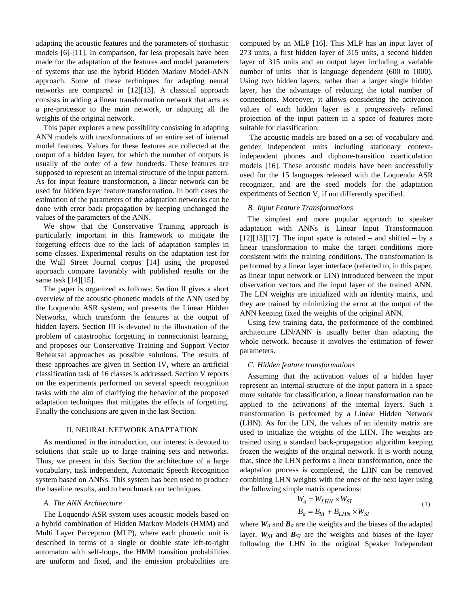adapting the acoustic features and the parameters of stochastic models [\[6\]](#page-8-3)[-\[11\]](#page-8-4). In comparison, far less proposals have been made for the adaptation of the features and model parameters of systems that use the hybrid Hidden Markov Model-ANN approach. Some of these techniques for adapting neural networks are compared in [\[12\]](#page-8-5)[\[13\].](#page-8-6) A classical approach consists in adding a linear transformation network that acts as a pre-processor to the main network, or adapting all the weights of the original network.

This paper explores a new possibility consisting in adapting ANN models with transformations of an entire set of internal model features. Values for these features are collected at the output of a hidden layer, for which the number of outputs is usually of the order of a few hundreds. These features are supposed to represent an internal structure of the input pattern. As for input feature transformation, a linear network can be used for hidden layer feature transformation. In both cases the estimation of the parameters of the adaptation networks can be done with error back propagation by keeping unchanged the values of the parameters of the ANN.

We show that the Conservative Training approach is particularly important in this framework to mitigate the forgetting effects due to the lack of adaptation samples in some classes. Experimental results on the adaptation test for the Wall Street Journal corpus [\[14\]](#page-8-7) using the proposed approach compare favorably with published results on the same task [\[14\]](#page-8-7)[\[15\].](#page-8-8)

The paper is organized as follows: Section [II](#page-2-0) gives a short overview of the acoustic-phonetic models of the ANN used by the Loquendo ASR system, and presents the Linear Hidden Networks, which transform the features at the output of hidden layers. Section [III](#page-3-0) is devoted to the illustration of the problem of catastrophic forgetting in connectionist learning, and proposes our Conservative Training and Support Vector Rehearsal approaches as possible solutions. The results of these approaches are given in Section IV, where an artificial classification task of 16 classes is addressed. Section [V](#page-6-0) reports on the experiments performed on several speech recognition tasks with the aim of clarifying the behavior of the proposed adaptation techniques that mitigates the effects of forgetting. Finally the conclusions are given in the last Section.

### II. NEURAL NETWORK ADAPTATION

<span id="page-2-0"></span>As mentioned in the introduction, our interest is devoted to solutions that scale up to large training sets and networks. Thus, we present in this Section the architecture of a large vocabulary, task independent, Automatic Speech Recognition system based on ANNs. This system has been used to produce the baseline results, and to benchmark our techniques.

## *A. The ANN Architecture*

<span id="page-2-1"></span>The Loquendo-ASR system uses acoustic models based on a hybrid combination of Hidden Markov Models (HMM) and Multi Layer Perceptron (MLP), where each phonetic unit is described in terms of a single or double state left-to-right automaton with self-loops, the HMM transition probabilities are uniform and fixed, and the emission probabilities are

computed by an MLP [16]. This MLP has an input layer of 273 units, a first hidden layer of 315 units, a second hidden layer of 315 units and an output layer including a variable number of units that is language dependent (600 to 1000). Using two hidden layers, rather than a larger single hidden layer, has the advantage of reducing the total number of connections. Moreover, it allows considering the activation values of each hidden layer as a progressively refined projection of the input pattern in a space of features more suitable for classification.

 The acoustic models are based on a set of vocabulary and gender independent units including stationary contextindependent phones and diphone-transition coarticulation models [16]. These acoustic models have been successfully used for the 15 languages released with the Loquendo ASR recognizer, and are the seed models for the adaptation experiments of Section [V](#page-6-0), if not differently specified.

## *B. Input Feature Transformations*

The simplest and more popular approach to speaker adaptation with ANNs is Linear Input Transformation  $[12][13][17]$  $[12][13][17]$  $[12][13][17]$ . The input space is rotated – and shifted – by a linear transformation to make the target conditions more consistent with the training conditions. The transformation is performed by a linear layer interface (referred to, in this paper, as linear input network or LIN) introduced between the input observation vectors and the input layer of the trained ANN. The LIN weights are initialized with an identity matrix, and they are trained by minimizing the error at the output of the ANN keeping fixed the weights of the original ANN.

Using few training data, the performance of the combined architecture LIN/ANN is usually better than adapting the whole network, because it involves the estimation of fewer parameters.

#### *C. Hidden feature transformations*

Assuming that the activation values of a hidden layer represent an internal structure of the input pattern in a space more suitable for classification, a linear transformation can be applied to the activations of the internal layers. Such a transformation is performed by a Linear Hidden Network (LHN). As for the LIN, the values of an identity matrix are used to initialize the weights of the LHN. The weights are trained using a standard back-propagation algorithm keeping frozen the weights of the original network. It is worth noting that, since the LHN performs a linear transformation, once the adaptation process is completed, the LHN can be removed combining LHN weights with the ones of the next layer using the following simple matrix operations:

$$
W_a = W_{LHN} \times W_{SI}
$$
  
\n
$$
B_a = B_{SI} + B_{LHN} \times W_{SI}
$$
\n(1)

where  $W_a$  and  $B_a$  are the weights and the biases of the adapted layer,  $W_{SI}$  and  $B_{SI}$  are the weights and biases of the layer following the LHN in the original Speaker Independent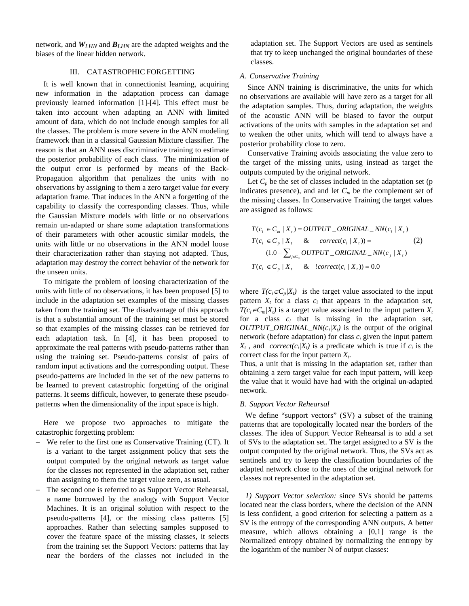network, and *WLHN* and *BLHN* are the adapted weights and the biases of the linear hidden network.

# III. CATASTROPHIC FORGETTING

<span id="page-3-0"></span>It is well known that in connectionist learning, acquiring new information in the adaptation process can damage previously learned information [1]-[4]. This effect must be taken into account when adapting an ANN with limited amount of data, which do not include enough samples for all the classes. The problem is more severe in the ANN modeling framework than in a classical Gaussian Mixture classifier. The reason is that an ANN uses discriminative training to estimate the posterior probability of each class. The minimization of the output error is performed by means of the Back-Propagation algorithm that penalizes the units with no observations by assigning to them a zero target value for every adaptation frame. That induces in the ANN a forgetting of the capability to classify the corresponding classes. Thus, while the Gaussian Mixture models with little or no observations remain un-adapted or share some adaptation transformations of their parameters with other acoustic similar models, the units with little or no observations in the ANN model loose their characterization rather than staying not adapted. Thus, adaptation may destroy the correct behavior of the network for the unseen units.

To mitigate the problem of loosing characterization of the units with little of no observations, it has been proposed [5] to include in the adaptation set examples of the missing classes taken from the training set. The disadvantage of this approach is that a substantial amount of the training set must be stored so that examples of the missing classes can be retrieved for each adaptation task. In [4], it has been proposed to approximate the real patterns with pseudo-patterns rather than using the training set. Pseudo-patterns consist of pairs of random input activations and the corresponding output. These pseudo-patterns are included in the set of the new patterns to be learned to prevent catastrophic forgetting of the original patterns. It seems difficult, however, to generate these pseudopatterns when the dimensionality of the input space is high.

Here we propose two approaches to mitigate the catastrophic forgetting problem:

- − We refer to the first one as Conservative Training (CT). It is a variant to the target assignment policy that sets the output computed by the original network as target value for the classes not represented in the adaptation set, rather than assigning to them the target value zero, as usual.
- The second one is referred to as Support Vector Rehearsal, a name borrowed by the analogy with Support Vector Machines. It is an original solution with respect to the pseudo-patterns [\[4\],](#page-8-1) or the missing class patterns [\[5\]](#page-8-2) approaches. Rather than selecting samples supposed to cover the feature space of the missing classes, it selects from the training set the Support Vectors: patterns that lay near the borders of the classes not included in the

adaptation set. The Support Vectors are used as sentinels that try to keep unchanged the original boundaries of these classes.

## *A. Conservative Training*

Since ANN training is discriminative, the units for which no observations are available will have zero as a target for all the adaptation samples. Thus, during adaptation, the weights of the acoustic ANN will be biased to favor the output activations of the units with samples in the adaptation set and to weaken the other units, which will tend to always have a posterior probability close to zero.

Conservative Training avoids associating the value zero to the target of the missing units, using instead as target the outputs computed by the original network.

Let  $C_p$  be the set of classes included in the adaptation set (p indicates presence), and and let  $C_m$  be the complement set of the missing classes. In Conservative Training the target values are assigned as follows:

$$
T(c_i \in C_m | X_i) = OUTPUT \_ ORIGINAL \_NN(c_i | X_i)
$$
  
\n
$$
T(c_i \in C_p | X_i \& correct(c_i | X_i)) =
$$
  
\n
$$
(1.0 - \sum_{j \in C_m} OUTPUT \_ ORIGINAL \_ NN(c_j | X_i)
$$
  
\n
$$
T(c_i \in C_p | X_i \& correct(c_i | X_i)) = 0.0
$$

where  $T(c_i \in C_p \mid X_t)$  is the target value associated to the input pattern  $X_t$  for a class  $c_i$  that appears in the adaptation set,  $T(c_i \in C_m | X_t)$  is a target value associated to the input pattern  $X_t$ for a class *ci* that is missing in the adaptation set,  $OUTPUT\_ORIGINAL\_NN(c_i|X_t)$  is the output of the original network (before adaptation) for class *ci* given the input pattern  $X_t$ , and *correct*( $c_i$ / $X_t$ ) is a predicate which is true if  $c_i$  is the correct class for the input pattern  $X_t$ .

Thus, a unit that is missing in the adaptation set, rather than obtaining a zero target value for each input pattern, will keep the value that it would have had with the original un-adapted network.

### *B. Support Vector Rehearsal*

We define "support vectors" (SV) a subset of the training patterns that are topologically located near the borders of the classes. The idea of Support Vector Rehearsal is to add a set of SVs to the adaptation set. The target assigned to a SV is the output computed by the original network. Thus, the SVs act as sentinels and try to keep the classification boundaries of the adapted network close to the ones of the original network for classes not represented in the adaptation set.

*1) Support Vector selection:* since SVs should be patterns located near the class borders, where the decision of the ANN is less confident, a good criterion for selecting a pattern as a SV is the entropy of the corresponding ANN outputs. A better measure, which allows obtaining a [0,1] range is the Normalized entropy obtained by normalizing the entropy by the logarithm of the number N of output classes: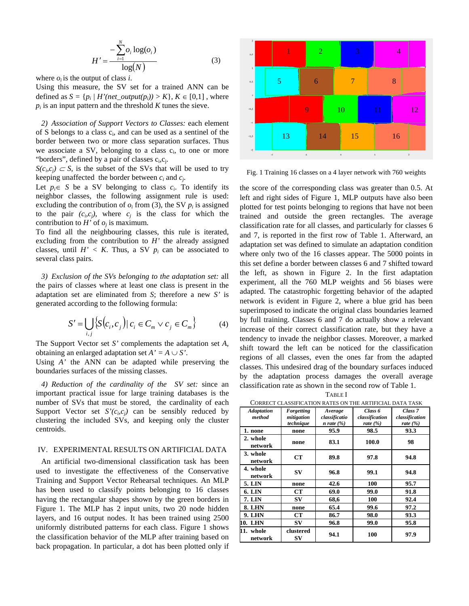$$
H' = \frac{-\sum_{i=1}^{N} o_i \log(o_i)}{\log(N)} \tag{3}
$$

where  $o_i$  is the output of class *i*.

Using this measure, the SV set for a trained ANN can be defined as  $S = \{p_i / H'(net\_output(p_i)) > K\}$ ,  $K \in [0,1]$ , where  $p_i$  is an input pattern and the threshold *K* tunes the sieve.

*2) Association of Support Vectors to Classes:* each element of S belongs to a class  $c_i$ , and can be used as a sentinel of the border between two or more class separation surfaces. Thus we associate a SV, belonging to a class  $c_i$ , to one or more "borders", defined by a pair of classes  $c_i, c_j$ .

 $S(c_i, c_j) \subset S$ , is the subset of the SVs that will be used to try keeping unaffected the border between *ci* and *cj*.

Let  $p_i \in S$  be a SV belonging to class  $c_i$ . To identify its neighbor classes, the following assignment rule is used: excluding the contribution of  $o_i$  from (3), the SV  $p_i$  is assigned to the pair  $(c_i, c_j)$ , where  $c_j$  is the class for which the contribution to  $H'$  of  $o_i$  is maximum.

To find all the neighbouring classes, this rule is iterated, excluding from the contribution to *H'* the already assigned classes, until  $H' < K$ . Thus, a SV  $p_i$  can be associated to several class pairs.

*3) Exclusion of the SVs belonging to the adaptation set:* all the pairs of classes where at least one class is present in the adaptation set are eliminated from *S*; therefore a new *S'* is generated according to the following formula:

$$
S' = \bigcup_{i,j} \left\{ S(c_i, c_j) \mid c_i \in C_m \vee c_j \in C_m \right\} \tag{4}
$$

The Support Vector set *S'* complements the adaptation set *A*, obtaining an enlarged adaptation set  $A' = A \cup S'$ .

Using *A'* the ANN can be adapted while preserving the boundaries surfaces of the missing classes.

*4) Reduction of the cardinality of the SV set:* since an important practical issue for large training databases is the number of SVs that must be stored, the cardinality of each Support Vector set  $S'(c_i,c_j)$  can be sensibly reduced by clustering the included SVs, and keeping only the cluster centroids.

# IV. EXPERIMENTAL RESULTS ON ARTIFICIAL DATA

An artificial two-dimensional classification task has been used to investigate the effectiveness of the Conservative Training and Support Vector Rehearsal techniques. An MLP has been used to classify points belonging to 16 classes having the rectangular shapes shown by the green borders in Figure 1. The MLP has 2 input units, two 20 node hidden layers, and 16 output nodes. It has been trained using 2500 uniformly distributed patterns for each class. Figure 1 shows the classification behavior of the MLP after training based on back propagation. In particular, a dot has been plotted only if



Fig. 1 Training 16 classes on a 4 layer network with 760 weights

the score of the corresponding class was greater than 0.5. At left and right sides of Figure 1, MLP outputs have also been plotted for test points belonging to regions that have not been trained and outside the green rectangles. The average classification rate for all classes, and particularly for classes 6 and 7, is reported in the first row of Table 1. Afterward, an adaptation set was defined to simulate an adaptation condition where only two of the 16 classes appear. The 5000 points in this set define a border between classes 6 and 7 shifted toward the left, as shown in Figure 2. In the first adaptation experiment, all the 760 MLP weights and 56 biases were adapted. The catastrophic forgetting behavior of the adapted network is evident in Figure 2, where a blue grid has been superimposed to indicate the original class boundaries learned by full training. Classes 6 and 7 do actually show a relevant increase of their correct classification rate, but they have a tendency to invade the neighbor classes. Moreover, a marked shift toward the left can be noticed for the classification regions of all classes, even the ones far from the adapted classes. This undesired drag of the boundary surfaces induced by the adaptation process damages the overall average classification rate as shown in the second row of Table 1.

TABLE I

| CORRECT CLASSIFICATION RATES ON THE ARTIFICIAL DATA TASK |                                       |                                                  |                                       |                                           |
|----------------------------------------------------------|---------------------------------------|--------------------------------------------------|---------------------------------------|-------------------------------------------|
| <b>Adaptation</b><br>method                              | Forgetting<br>mitigation<br>technique | Average<br>classificatio<br><i>n</i> rate $(\%)$ | Class 6<br>classification<br>rate (%) | Class 7<br>classification<br>rate $(\% )$ |
| 1. none                                                  | none                                  | 95.9                                             | 98.5                                  | 93.3                                      |
| 2. whole<br>network                                      | none                                  | 83.1                                             | 100.0                                 | 98                                        |
| 3. whole<br>network                                      | <b>CT</b>                             | 89.8                                             | 97.8                                  | 94.8                                      |
| 4. whole<br>network                                      | $S_{V}$                               | 96.8                                             | 99.1                                  | 94.8                                      |
| 5. LIN                                                   | none                                  | 42.6                                             | 100                                   | 95.7                                      |
| 6. LIN                                                   | CТ                                    | 69.0                                             | 99.0                                  | 91.8                                      |
| 7. LIN                                                   | $S_{V}$                               | 68,6                                             | 100                                   | 92.4                                      |
| <b>8. LHN</b>                                            | none                                  | 65.4                                             | 99.6                                  | 97.2                                      |
| <b>9. LHN</b>                                            | <b>CT</b>                             | 86.7                                             | 98.0                                  | 93.3                                      |
| 10. LHN                                                  | $S_{V}$                               | 96.8                                             | 99.0                                  | 95.8                                      |
| 11. whole<br>network                                     | clustered<br>SV                       | 94.1                                             | 100                                   | 97.9                                      |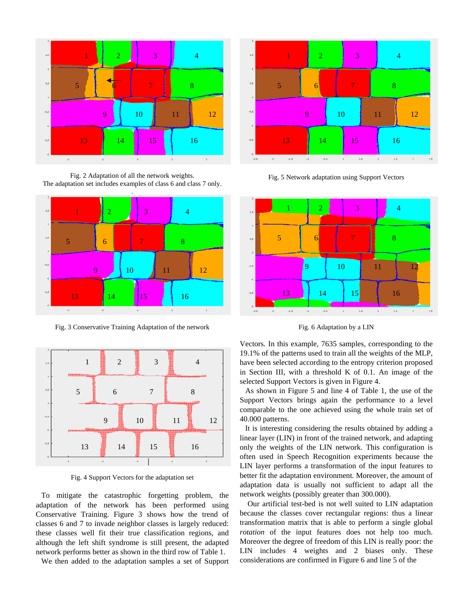

Fig. 2 Adaptation of all the network weights. The adaptation set includes examples of class 6 and class 7 only.



Fig. 3 Conservative Training Adaptation of the network



Fig. 4 Support Vectors for the adaptation set

To mitigate the catastrophic forgetting problem, the adaptation of the network has been performed using Conservative Training. Figure 3 shows how the trend of classes 6 and 7 to invade neighbor classes is largely reduced: these classes well fit their true classification regions, and although the left shift syndrome is still present, the adapted network performs better as shown in the third row of Table 1.

We then added to the adaptation samples a set of Support



Fig. 5 Network adaptation using Support Vectors



Fig. 6 Adaptation by a LIN

Vectors. In this example, 7635 samples, corresponding to the 19.1% of the patterns used to train all the weights of the MLP, have been selected according to the entropy criterion proposed in Section [III](#page-3-0), with a threshold K of 0.1. An image of the selected Support Vectors is given in Figure 4.

As shown in Figure 5 and line 4 of Table 1, the use of the Support Vectors brings again the performance to a level comparable to the one achieved using the whole train set of 40.000 patterns.

It is interesting considering the results obtained by adding a linear layer (LIN) in front of the trained network, and adapting only the weights of the LIN network. This configuration is often used in Speech Recognition experiments because the LIN layer performs a transformation of the input features to better fit the adaptation environment. Moreover, the amount of adaptation data is usually not sufficient to adapt all the network weights (possibly greater than 300.000).

Our artificial test-bed is not well suited to LIN adaptation because the classes cover rectangular regions: thus a linear transformation matrix that is able to perform a single global *rotation* of the input features does not help too much. Moreover the degree of freedom of this LIN is really poor: the LIN includes 4 weights and 2 biases only. These considerations are confirmed in Figure 6 and line 5 of the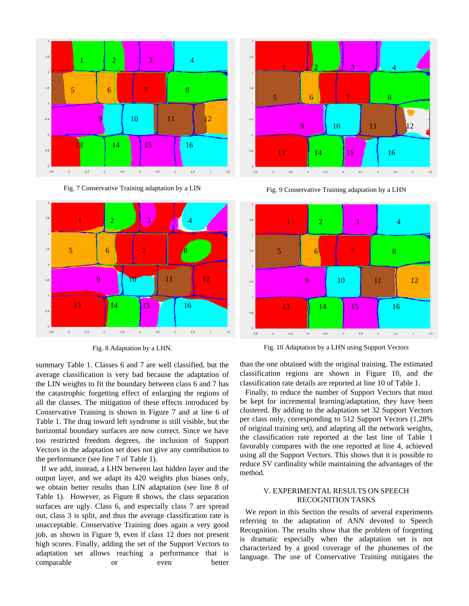

Fig. 7 Conservative Training adaptation by a LIN



Fig. 8 Adaptation by a LHN.

summary Table 1. Classes 6 and 7 are well classified, but the average classification is very bad because the adaptation of the LIN weights to fit the boundary between class 6 and 7 has the catastrophic forgetting effect of enlarging the regions of all the classes. The mitigation of these effects introduced by Conservative Training is shown in Figure 7 and at line 6 of Table 1. The drag toward left syndrome is still visible, but the horizontal boundary surfaces are now correct. Since we have too restricted freedom degrees, the inclusion of Support Vectors in the adaptation set does not give any contribution to the performance (see line 7 of Table 1).

<span id="page-6-0"></span>If we add, instead, a LHN between last hidden layer and the output layer, and we adapt its 420 weights plus biases only, we obtain better results than LIN adaptation (see line 8 of Table 1). However, as Figure 8 shows, the class separation surfaces are ugly. Class 6, and especially class 7 are spread out, class 3 is split, and thus the average classification rate is unacceptable. Conservative Training does again a very good job, as shown in Figure 9, even if class 12 does not present high scores. Finally, adding the set of the Support Vectors to adaptation set allows reaching a performance that is comparable or even better



Fig. 9 Conservative Training adaptation by a LHN



Fig. 10 Adaptation by a LHN using Support Vectors

than the one obtained with the original training. The estimated classification regions are shown in Figure 10, and the classification rate details are reported at line 10 of Table 1.

Finally, to reduce the number of Support Vectors that must be kept for incremental learning/adaptation, they have been clustered. By adding to the adaptation set 32 Support Vectors per class only, corresponding to 512 Support Vectors (1.28% of original training set), and adapting all the network weights, the classification rate reported at the last line of Table 1 favorably compares with the one reported at line 4, achieved using all the Support Vectors. This shows that it is possible to reduce SV cardinality while maintaining the advantages of the method.

# V. EXPERIMENTAL RESULTS ON SPEECH RECOGNITION TASKS

We report in this Section the results of several experiments referring to the adaptation of ANN devoted to Speech Recognition. The results show that the problem of forgetting is dramatic especially when the adaptation set is not characterized by a good coverage of the phonemes of the language. The use of Conservative Training mitigates the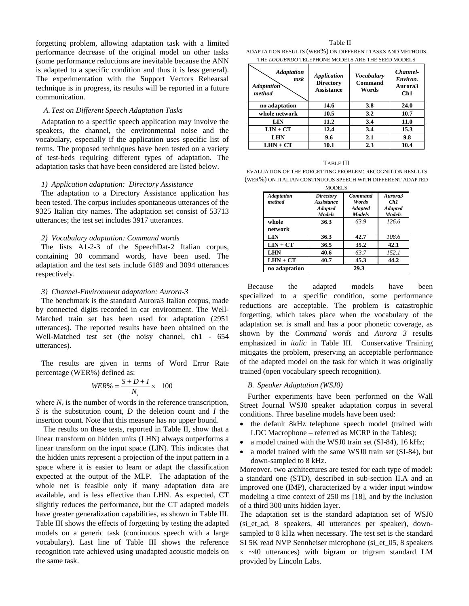forgetting problem, allowing adaptation task with a limited performance decrease of the original model on other tasks (some performance reductions are inevitable because the ANN is adapted to a specific condition and thus it is less general). The experimentation with the Support Vectors Rehearsal technique is in progress, its results will be reported in a future communication.

## *A. Test on Different Speech Adaptation Tasks*

Adaptation to a specific speech application may involve the speakers, the channel, the environmental noise and the vocabulary, especially if the application uses specific list of terms. The proposed techniques have been tested on a variety of test-beds requiring different types of adaptation. The adaptation tasks that have been considered are listed below.

## *1) Application adaptation: Directory Assistance*

The adaptation to a Directory Assistance application has been tested. The corpus includes spontaneous utterances of the 9325 Italian city names. The adaptation set consist of 53713 utterances; the test set includes 3917 utterances.

#### *2) Vocabulary adaptation: Command words*

The lists A1-2-3 of the SpeechDat-2 Italian corpus, containing 30 command words, have been used. The adaptation and the test sets include 6189 and 3094 utterances respectively.

#### *3) Channel-Environment adaptation: Aurora-3*

The benchmark is the standard Aurora3 Italian corpus, made by connected digits recorded in car environment. The Well-Matched train set has been used for adaptation (2951 utterances). The reported results have been obtained on the Well-Matched test set (the noisy channel, ch1 - 654 utterances).

The results are given in terms of Word Error Rate percentage (WER%) defined as:

$$
WER\% = \frac{S + D + I}{N_r} \times 100
$$

where  $N_r$  is the number of words in the reference transcription, *S* is the substitution count, *D* the deletion count and *I* the insertion count. Note that this measure has no upper bound.

The results on these tests, reported in Table II, show that a linear transform on hidden units (LHN) always outperforms a linear transform on the input space (LIN). This indicates that the hidden units represent a projection of the input pattern in a space where it is easier to learn or adapt the classification expected at the output of the MLP. The adaptation of the whole net is feasible only if many adaptation data are available, and is less effective than LHN. As expected, CT slightly reduces the performance, but the CT adapted models have greater generalization capabilities, as shown in Table III. Table III shows the effects of forgetting by testing the adapted models on a generic task (continuous speech with a large vocabulary). Last line of Table III shows the reference recognition rate achieved using unadapted acoustic models on the same task.

Table II ADAPTATION RESULTS (WER%) ON DIFFERENT TASKS AND METHODS. THE *LOQUENDO* TELEPHONE MODELS ARE THE SEED MODELS

| <b>Adaptation</b><br>task<br><b>Adaptation</b><br>method | <i><b>Application</b></i><br><b>Directory</b><br><b>Assistance</b> | Vocabulary<br>Command<br>Words | Channel-<br>Environ.<br>Aurora3<br>Ch1 |
|----------------------------------------------------------|--------------------------------------------------------------------|--------------------------------|----------------------------------------|
| no adaptation                                            | 14.6                                                               | 3.8                            | 24.0                                   |
| whole network                                            | 10.5                                                               | 3.2                            | 10.7                                   |
| LIN                                                      | 11.2                                                               | 3.4                            | 11.0                                   |
| $LIN+CT$                                                 | 12.4                                                               | 3.4                            | 15.3                                   |
| LHN                                                      | 9.6                                                                | 2.1                            | 9.8                                    |
| $LHN + CT$                                               | 10.1                                                               | 2.3                            | 10.4                                   |

TABLE III EVALUATION OF THE FORGETTING PROBLEM: RECOGNITION RESULTS (WER%) ON ITALIAN CONTINUOUS SPEECH WITH DIFFERENT ADAPTED MODELS

| IVIU JELA         |                   |                |                |  |
|-------------------|-------------------|----------------|----------------|--|
| <b>Adaptation</b> | <b>Directory</b>  | <b>Command</b> | Aurora3        |  |
| method            | <b>Assistance</b> | Words          | Ch1            |  |
|                   | <b>Adapted</b>    | <b>Adapted</b> | <b>Adapted</b> |  |
|                   | <b>Models</b>     | <b>Models</b>  | <b>Models</b>  |  |
| whole             | 36.3              | 63.9           | 126.6          |  |
| network           |                   |                |                |  |
| LIN               | 36.3              | 42.7           | 108.6          |  |
| $LIN+CT$          | 36.5              | 35.2           | 42.1           |  |
| <b>LHN</b>        | 40.6              | 63.7           | 152.1          |  |
| $LHN + CT$        | 40.7              | 45.3           | 44.2           |  |
| no adaptation     |                   | 29.3           |                |  |

Because the adapted models have been specialized to a specific condition, some performance reductions are acceptable. The problem is catastrophic forgetting, which takes place when the vocabulary of the adaptation set is small and has a poor phonetic coverage, as shown by the *Command words* and *Aurora 3* results emphasized in *italic* in Table III. Conservative Training mitigates the problem, preserving an acceptable performance of the adapted model on the task for which it was originally trained (open vocabulary speech recognition).

#### *B. Speaker Adaptation (WSJ0)*

Further experiments have been performed on the Wall Street Journal WSJ0 speaker adaptation corpus in several conditions. Three baseline models have been used:

- the default 8kHz telephone speech model (trained with LDC Macrophone – referred as MCRP in the Tables);
- a model trained with the WSJ0 train set (SI-84), 16 kHz;
- a model trained with the same WSJ0 train set (SI-84), but down-sampled to 8 kHz.

Moreover, two architectures are tested for each type of model: a standard one (STD), described in sub-section [II.A](#page-2-1) and an improved one (IMP), characterized by a wider input window modeling a time context of 250 ms [18], and by the inclusion of a third 300 units hidden layer.

The adaptation set is the standard adaptation set of WSJ0 (si\_et\_ad, 8 speakers, 40 utterances per speaker), downsampled to 8 kHz when necessary. The test set is the standard SI 5K read NVP Sennheiser microphone (si\_et\_05, 8 speakers  $x \sim 40$  utterances) with bigram or trigram standard LM provided by Lincoln Labs.